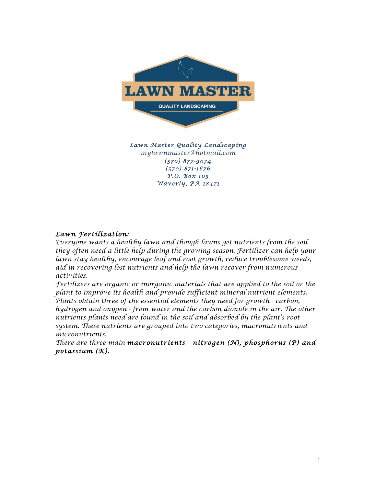

*Lawn Master Quality Landscaping mylawnmaster@hotmail.com (570) 877-9074 (570) 871-1676 P.O. Box 103 Waverly, PA 18471* 

#### *Lawn Fertilization:*

*Everyone wants a healthy lawn and though lawns get nutrients from the soil they often need a little help during the growing season. Fertilizer can help your lawn stay healthy, encourage leaf and root growth, reduce troublesome weeds, aid in recovering lost nutrients and help the lawn recover from numerous activities.*

*Fertilizers are organic or inorganic materials that are applied to the soil or the plant to improve its health and provide sufficient mineral nutrient elements. Plants obtain three of the essential elements they need for growth - carbon, hydrogen and oxygen - from water and the carbon dioxide in the air. The other nutrients plants need are found in the soil and absorbed by the plant's root system. These nutrients are grouped into two categories, macronutrients and micronutrients.*

*There are three main macronutrients – nitrogen (N), phosphorus (P) and potassium (K).*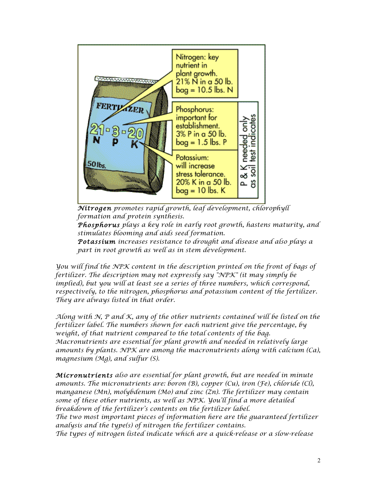

 *Nitrogen promotes rapid growth, leaf development, chlorophyll formation and protein synthesis.*

 *Phosphorus plays a key role in early root growth, hastens maturity, and stimulates blooming and aids seed formation.*

 *Potassium increases resistance to drought and disease and also plays a part in root growth as well as in stem development.*

*You will find the NPK content in the description printed on the front of bags of fertilizer. The description may not expressly say "NPK" (it may simply be implied), but you will at least see a series of three numbers, which correspond, respectively, to the nitrogen, phosphorus and potassium content of the fertilizer. They are always listed in that order.*

*Along with N, P and K, any of the other nutrients contained will be listed on the fertilizer label. The numbers shown for each nutrient give the percentage, by weight, of that nutrient compared to the total contents of the bag. Macronutrients are essential for plant growth and needed in relatively large amounts by plants. NPK are among the macronutrients along with calcium (Ca), magnesium (Mg), and sulfur (S).*

*Micronutrients also are essential for plant growth, but are needed in minute amounts. The micronutrients are: boron (B), copper (Cu), iron (Fe), chloride (Cl), manganese (Mn), molybdenum (Mo) and zinc (Zn). The fertilizer may contain some of these other nutrients, as well as NPK. You'll find a more detailed breakdown of the fertilizer's contents on the fertilizer label. The two most important pieces of information here are the guaranteed fertilizer analysis and the type(s) of nitrogen the fertilizer contains. The types of nitrogen listed indicate which are a quick-release or a slow-release*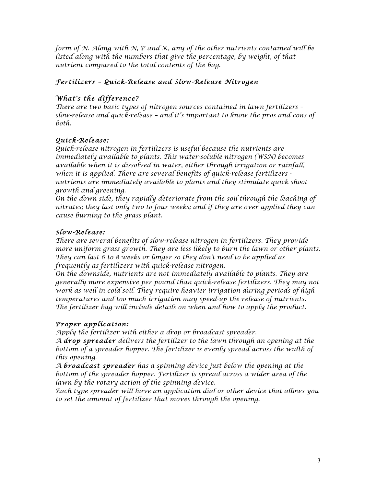*form of N. Along with N, P and K, any of the other nutrients contained will be listed along with the numbers that give the percentage, by weight, of that nutrient compared to the total contents of the bag.*

# *Fertilizers – Quick-Release and Slow-Release Nitrogen*

## *What's the difference?*

*There are two basic types of nitrogen sources contained in lawn fertilizers – slow-release and quick-release – and it's important to know the pros and cons of both.*

## *Quick-Release:*

*Quick-release nitrogen in fertilizers is useful because the nutrients are immediately available to plants. This water-soluble nitrogen (WSN) becomes available when it is dissolved in water, either through irrigation or rainfall, when it is applied. There are several benefits of quick-release fertilizers nutrients are immediately available to plants and they stimulate quick shoot growth and greening.*

*On the down side, they rapidly deteriorate from the soil through the leaching of nitrates; they last only two to four weeks; and if they are over applied they can cause burning to the grass plant.*

### *Slow-Release:*

*There are several benefits of slow-release nitrogen in fertilizers. They provide more uniform grass growth. They are less likely to burn the lawn or other plants. They can last 6 to 8 weeks or longer so they don't need to be applied as frequently as fertilizers with quick-release nitrogen.*

*On the downside, nutrients are not immediately available to plants. They are generally more expensive per pound than quick-release fertilizers. They may not work as well in cold soil. They require heavier irrigation during periods of high temperatures and too much irrigation may speed-up the release of nutrients. The fertilizer bag will include details on when and how to apply the product.*

### *Proper application:*

*Apply the fertilizer with either a drop or broadcast spreader.*

*A drop spreader delivers the fertilizer to the lawn through an opening at the*  bottom of a spreader hopper. The fertilizer is evenly spread across the width of *this opening.*

*A broadcast spreader has a spinning device just below the opening at the*  bottom of the spreader hopper. Fertilizer is spread across a wider area of the *lawn by the rotary action of the spinning device.*

*Each type spreader will have an application dial or other device that allows you to set the amount of fertilizer that moves through the opening.*